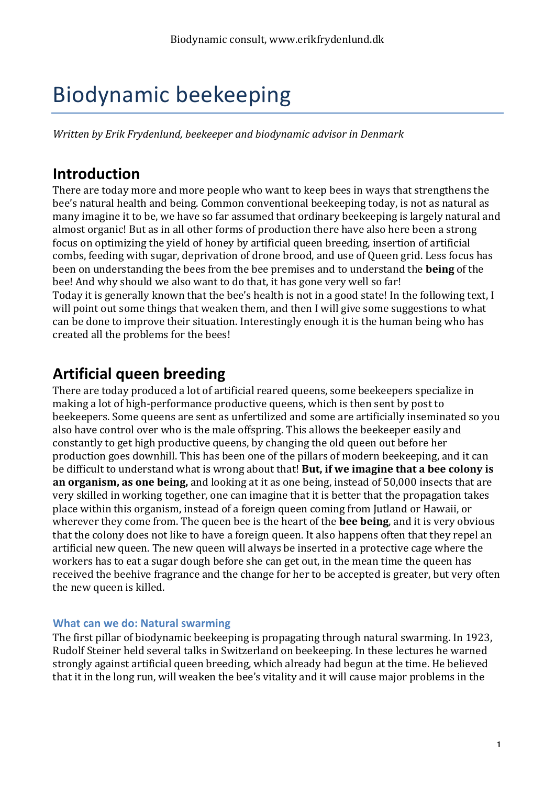# Biodynamic beekeeping

*Written by Erik Frydenlund, beekeeper and biodynamic advisor in Denmark* 

# **Introduction**

There are today more and more people who want to keep bees in ways that strengthens the bee's natural health and being. Common conventional beekeeping today, is not as natural as many imagine it to be, we have so far assumed that ordinary beekeeping is largely natural and almost organic! But as in all other forms of production there have also here been a strong focus on optimizing the vield of honey by artificial queen breeding, insertion of artificial combs, feeding with sugar, deprivation of drone brood, and use of Queen grid. Less focus has been on understanding the bees from the bee premises and to understand the **being** of the bee! And why should we also want to do that, it has gone very well so far! Today it is generally known that the bee's health is not in a good state! In the following text, I will point out some things that weaken them, and then I will give some suggestions to what can be done to improve their situation. Interestingly enough it is the human being who has created all the problems for the bees!

# **Artificial queen breeding**

There are today produced a lot of artificial reared queens, some beekeepers specialize in making a lot of high-performance productive queens, which is then sent by post to beekeepers. Some queens are sent as unfertilized and some are artificially inseminated so you also have control over who is the male offspring. This allows the beekeeper easily and constantly to get high productive queens, by changing the old queen out before her production goes downhill. This has been one of the pillars of modern beekeeping, and it can be difficult to understand what is wrong about that! But, if we imagine that a bee colony is **an organism, as one being,** and looking at it as one being, instead of 50,000 insects that are very skilled in working together, one can imagine that it is better that the propagation takes place within this organism, instead of a foreign queen coming from Jutland or Hawaii, or wherever they come from. The queen bee is the heart of the **bee being**, and it is very obvious that the colony does not like to have a foreign queen. It also happens often that they repel an artificial new queen. The new queen will always be inserted in a protective cage where the workers has to eat a sugar dough before she can get out, in the mean time the queen has received the beehive fragrance and the change for her to be accepted is greater, but very often the new queen is killed.

#### **What can we do: Natural swarming**

The first pillar of biodynamic beekeeping is propagating through natural swarming. In 1923, Rudolf Steiner held several talks in Switzerland on beekeeping. In these lectures he warned strongly against artificial queen breeding, which already had begun at the time. He believed that it in the long run, will weaken the bee's vitality and it will cause major problems in the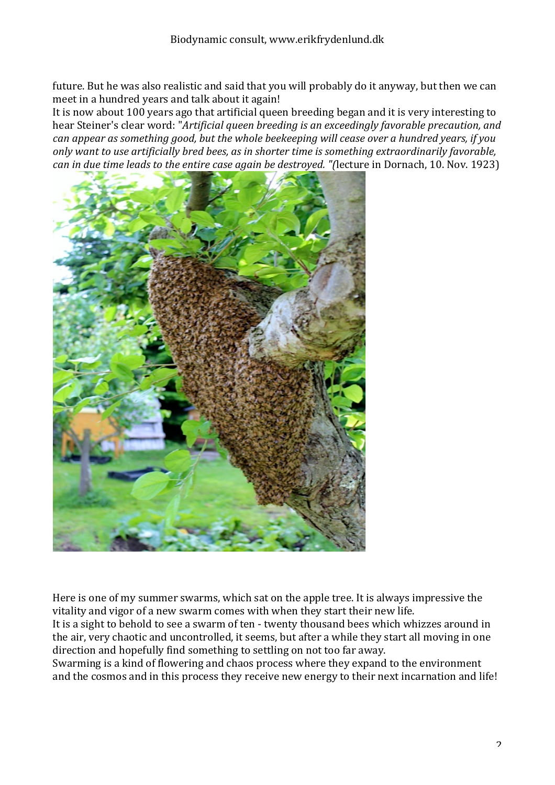future. But he was also realistic and said that you will probably do it anyway, but then we can meet in a hundred years and talk about it again!

It is now about 100 years ago that artificial queen breeding began and it is very interesting to hear Steiner's clear word: "Artificial queen breeding is an exceedingly favorable precaution, and *can appear as something good, but the whole beekeeping will cease over a hundred years, if you only* want to use artificially bred bees, as in shorter time is something extraordinarily favorable, *can* in due time leads to the entire case again be destroyed. "(lecture in Dornach, 10. Nov. 1923)



Here is one of my summer swarms, which sat on the apple tree. It is always impressive the vitality and vigor of a new swarm comes with when they start their new life.

It is a sight to behold to see a swarm of ten - twenty thousand bees which whizzes around in the air, very chaotic and uncontrolled, it seems, but after a while they start all moving in one direction and hopefully find something to settling on not too far away.

Swarming is a kind of flowering and chaos process where they expand to the environment and the cosmos and in this process they receive new energy to their next incarnation and life!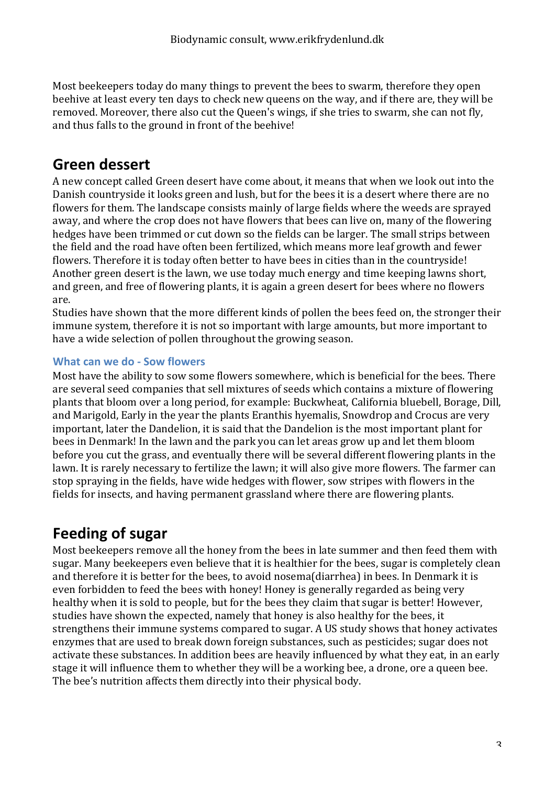Most beekeepers today do many things to prevent the bees to swarm, therefore they open beehive at least every ten days to check new queens on the way, and if there are, they will be removed. Moreover, there also cut the Queen's wings, if she tries to swarm, she can not fly, and thus falls to the ground in front of the beehive!

### **Green dessert**

A new concept called Green desert have come about, it means that when we look out into the Danish countryside it looks green and lush, but for the bees it is a desert where there are no flowers for them. The landscape consists mainly of large fields where the weeds are sprayed away, and where the crop does not have flowers that bees can live on, many of the flowering hedges have been trimmed or cut down so the fields can be larger. The small strips between the field and the road have often been fertilized, which means more leaf growth and fewer flowers. Therefore it is today often better to have bees in cities than in the countryside! Another green desert is the lawn, we use today much energy and time keeping lawns short, and green, and free of flowering plants, it is again a green desert for bees where no flowers are.

Studies have shown that the more different kinds of pollen the bees feed on, the stronger their immune system, therefore it is not so important with large amounts, but more important to have a wide selection of pollen throughout the growing season.

#### **What can we do - Sow flowers**

Most have the ability to sow some flowers somewhere, which is beneficial for the bees. There are several seed companies that sell mixtures of seeds which contains a mixture of flowering plants that bloom over a long period, for example: Buckwheat, California bluebell, Borage, Dill, and Marigold, Early in the year the plants Eranthis hyemalis, Snowdrop and Crocus are very important, later the Dandelion, it is said that the Dandelion is the most important plant for bees in Denmark! In the lawn and the park you can let areas grow up and let them bloom before you cut the grass, and eventually there will be several different flowering plants in the lawn. It is rarely necessary to fertilize the lawn; it will also give more flowers. The farmer can stop spraying in the fields, have wide hedges with flower, sow stripes with flowers in the fields for insects, and having permanent grassland where there are flowering plants.

# **Feeding of sugar**

Most beekeepers remove all the honey from the bees in late summer and then feed them with sugar. Many beekeepers even believe that it is healthier for the bees, sugar is completely clean and therefore it is better for the bees, to avoid nosema(diarrhea) in bees. In Denmark it is even forbidden to feed the bees with honey! Honey is generally regarded as being very healthy when it is sold to people, but for the bees they claim that sugar is better! However, studies have shown the expected, namely that honey is also healthy for the bees, it strengthens their immune systems compared to sugar. A US study shows that honey activates enzymes that are used to break down foreign substances, such as pesticides; sugar does not activate these substances. In addition bees are heavily influenced by what they eat, in an early stage it will influence them to whether they will be a working bee, a drone, ore a queen bee. The bee's nutrition affects them directly into their physical body.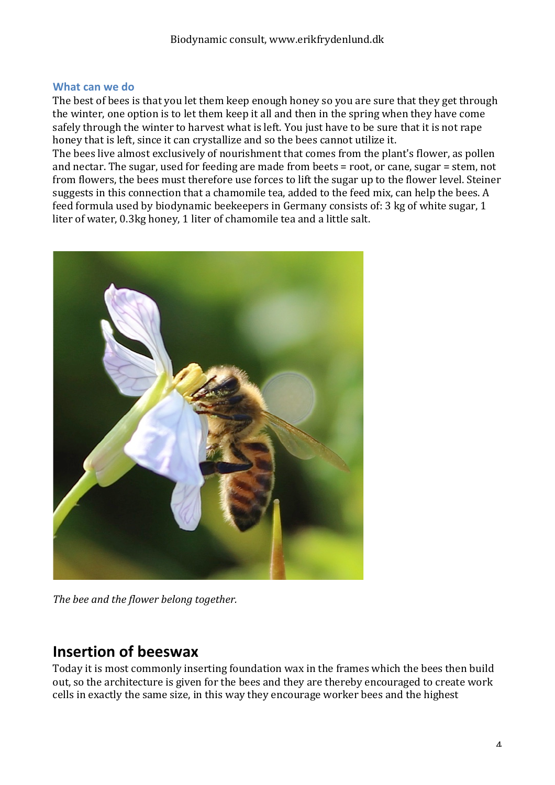#### **What can we do**

The best of bees is that you let them keep enough honey so you are sure that they get through the winter, one option is to let them keep it all and then in the spring when they have come safely through the winter to harvest what is left. You just have to be sure that it is not rape honey that is left, since it can crystallize and so the bees cannot utilize it.

The bees live almost exclusively of nourishment that comes from the plant's flower, as pollen and nectar. The sugar, used for feeding are made from beets  $=$  root, or cane, sugar  $=$  stem, not from flowers, the bees must therefore use forces to lift the sugar up to the flower level. Steiner suggests in this connection that a chamomile tea, added to the feed mix, can help the bees. A feed formula used by biodynamic beekeepers in Germany consists of: 3 kg of white sugar, 1 liter of water, 0.3kg honey, 1 liter of chamomile tea and a little salt.



The bee and the flower belong together.

### **Insertion of beeswax**

Today it is most commonly inserting foundation wax in the frames which the bees then build out, so the architecture is given for the bees and they are thereby encouraged to create work cells in exactly the same size, in this way they encourage worker bees and the highest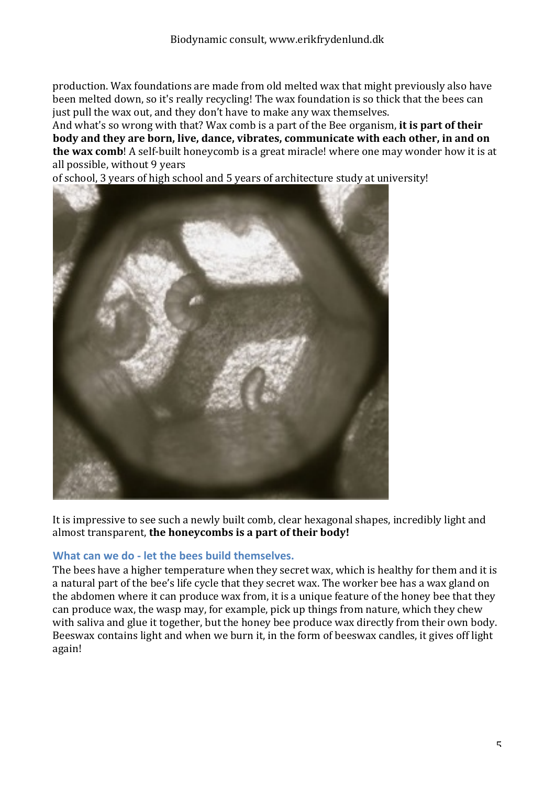production. Wax foundations are made from old melted wax that might previously also have been melted down, so it's really recycling! The wax foundation is so thick that the bees can just pull the wax out, and they don't have to make any wax themselves.

And what's so wrong with that? Wax comb is a part of the Bee organism, it is part of their **body** and they are born, live, dance, vibrates, communicate with each other, in and on **the wax comb**! A self-built honeycomb is a great miracle! where one may wonder how it is at all possible, without 9 years

of school, 3 years of high school and 5 years of architecture study at university!



It is impressive to see such a newly built comb, clear hexagonal shapes, incredibly light and almost transparent, the honeycombs is a part of their body!

#### **What can we do - let the bees build themselves.**

The bees have a higher temperature when they secret wax, which is healthy for them and it is a natural part of the bee's life cycle that they secret wax. The worker bee has a wax gland on the abdomen where it can produce wax from, it is a unique feature of the honey bee that they can produce wax, the wasp may, for example, pick up things from nature, which they chew with saliva and glue it together, but the honey bee produce wax directly from their own body. Beeswax contains light and when we burn it, in the form of beeswax candles, it gives off light again!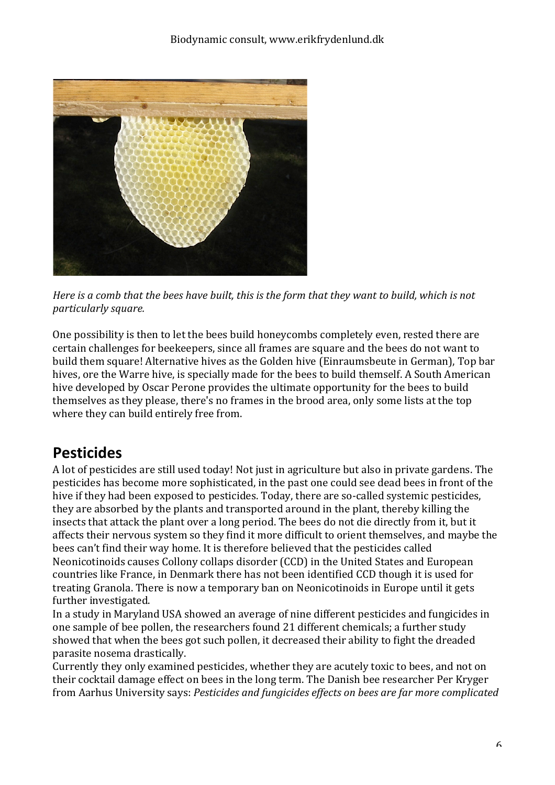

*Here* is a comb that the bees have built, this is the form that they want to build, which is not *particularly square.*

One possibility is then to let the bees build honeycombs completely even, rested there are certain challenges for beekeepers, since all frames are square and the bees do not want to build them square! Alternative hives as the Golden hive (Einraumsbeute in German), Top bar hives, ore the Warre hive, is specially made for the bees to build themself. A South American hive developed by Oscar Perone provides the ultimate opportunity for the bees to build themselves as they please, there's no frames in the brood area, only some lists at the top where they can build entirely free from.

# **Pesticides**

A lot of pesticides are still used today! Not just in agriculture but also in private gardens. The pesticides has become more sophisticated, in the past one could see dead bees in front of the hive if they had been exposed to pesticides. Today, there are so-called systemic pesticides, they are absorbed by the plants and transported around in the plant, thereby killing the insects that attack the plant over a long period. The bees do not die directly from it, but it affects their nervous system so they find it more difficult to orient themselves, and maybe the bees can't find their way home. It is therefore believed that the pesticides called Neonicotinoids causes Collony collaps disorder (CCD) in the United States and European countries like France, in Denmark there has not been identified CCD though it is used for treating Granola. There is now a temporary ban on Neonicotinoids in Europe until it gets further investigated.

In a study in Maryland USA showed an average of nine different pesticides and fungicides in one sample of bee pollen, the researchers found 21 different chemicals; a further study showed that when the bees got such pollen, it decreased their ability to fight the dreaded parasite nosema drastically.

Currently they only examined pesticides, whether they are acutely toxic to bees, and not on their cocktail damage effect on bees in the long term. The Danish bee researcher Per Kryger from Aarhus University says: *Pesticides and fungicides effects on bees are far more complicated*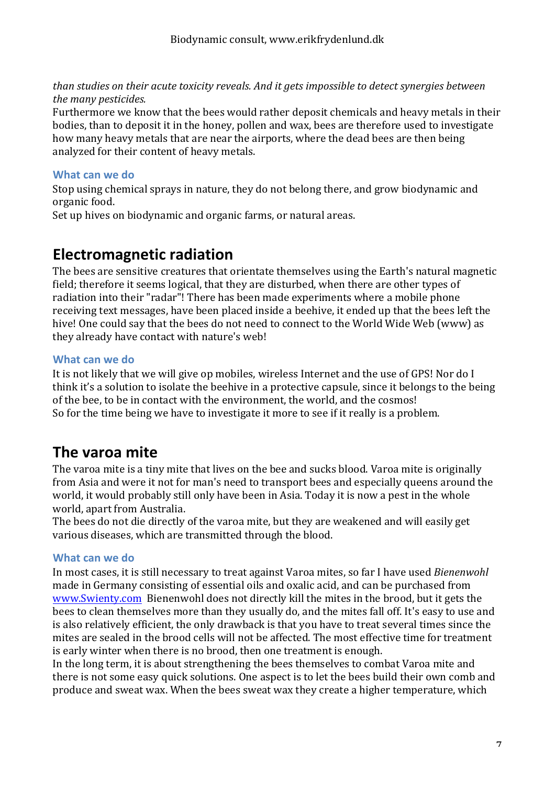*than studies on their acute toxicity reveals. And it gets impossible to detect synergies between the many pesticides.* 

Furthermore we know that the bees would rather deposit chemicals and heavy metals in their bodies, than to deposit it in the honey, pollen and wax, bees are therefore used to investigate how many heavy metals that are near the airports, where the dead bees are then being analyzed for their content of heavy metals.

#### **What can we do**

Stop using chemical sprays in nature, they do not belong there, and grow biodynamic and organic food.

Set up hives on biodynamic and organic farms, or natural areas.

### **Electromagnetic radiation**

The bees are sensitive creatures that orientate themselves using the Earth's natural magnetic field; therefore it seems logical, that they are disturbed, when there are other types of radiation into their "radar"! There has been made experiments where a mobile phone receiving text messages, have been placed inside a beehive, it ended up that the bees left the hive! One could say that the bees do not need to connect to the World Wide Web (www) as they already have contact with nature's web!

#### What can we do

It is not likely that we will give op mobiles, wireless Internet and the use of GPS! Nor do I think it's a solution to isolate the beehive in a protective capsule, since it belongs to the being of the bee, to be in contact with the environment, the world, and the cosmos! So for the time being we have to investigate it more to see if it really is a problem.

### **The varoa mite**

The varoa mite is a tiny mite that lives on the bee and sucks blood. Varoa mite is originally from Asia and were it not for man's need to transport bees and especially queens around the world, it would probably still only have been in Asia. Today it is now a pest in the whole world, apart from Australia.

The bees do not die directly of the varoa mite, but they are weakened and will easily get various diseases, which are transmitted through the blood.

#### **What can we do**

In most cases, it is still necessary to treat against Varoa mites, so far I have used *Bienenwohl* made in Germany consisting of essential oils and oxalic acid, and can be purchased from www.Swienty.com Bienenwohl does not directly kill the mites in the brood, but it gets the bees to clean themselves more than they usually do, and the mites fall off. It's easy to use and is also relatively efficient, the only drawback is that you have to treat several times since the mites are sealed in the brood cells will not be affected. The most effective time for treatment is early winter when there is no brood, then one treatment is enough.

In the long term, it is about strengthening the bees themselves to combat Varoa mite and there is not some easy quick solutions. One aspect is to let the bees build their own comb and produce and sweat wax. When the bees sweat wax they create a higher temperature, which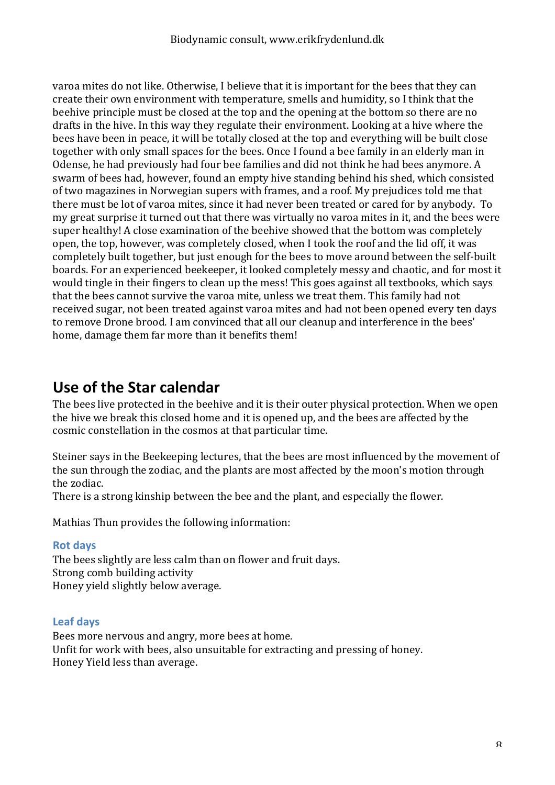varoa mites do not like. Otherwise, I believe that it is important for the bees that they can create their own environment with temperature, smells and humidity, so I think that the beehive principle must be closed at the top and the opening at the bottom so there are no drafts in the hive. In this way they regulate their environment. Looking at a hive where the bees have been in peace, it will be totally closed at the top and everything will be built close together with only small spaces for the bees. Once I found a bee family in an elderly man in Odense, he had previously had four bee families and did not think he had bees anymore. A swarm of bees had, however, found an empty hive standing behind his shed, which consisted of two magazines in Norwegian supers with frames, and a roof. My prejudices told me that there must be lot of varoa mites, since it had never been treated or cared for by anybody. To my great surprise it turned out that there was virtually no varoa mites in it, and the bees were super healthy! A close examination of the beehive showed that the bottom was completely open, the top, however, was completely closed, when I took the roof and the lid off, it was completely built together, but just enough for the bees to move around between the self-built boards. For an experienced beekeeper, it looked completely messy and chaotic, and for most it would tingle in their fingers to clean up the mess! This goes against all textbooks, which says that the bees cannot survive the varoa mite, unless we treat them. This family had not received sugar, not been treated against varoa mites and had not been opened every ten days to remove Drone brood. I am convinced that all our cleanup and interference in the bees' home, damage them far more than it benefits them!

### **Use of the Star calendar**

The bees live protected in the beehive and it is their outer physical protection. When we open the hive we break this closed home and it is opened up, and the bees are affected by the cosmic constellation in the cosmos at that particular time.

Steiner says in the Beekeeping lectures, that the bees are most influenced by the movement of the sun through the zodiac, and the plants are most affected by the moon's motion through the zodiac.

There is a strong kinship between the bee and the plant, and especially the flower.

Mathias Thun provides the following information:

#### **Rot days**

The bees slightly are less calm than on flower and fruit days. Strong comb building activity Honey yield slightly below average.

#### **Leaf days**

Bees more nervous and angry, more bees at home. Unfit for work with bees, also unsuitable for extracting and pressing of honey. Honey Yield less than average.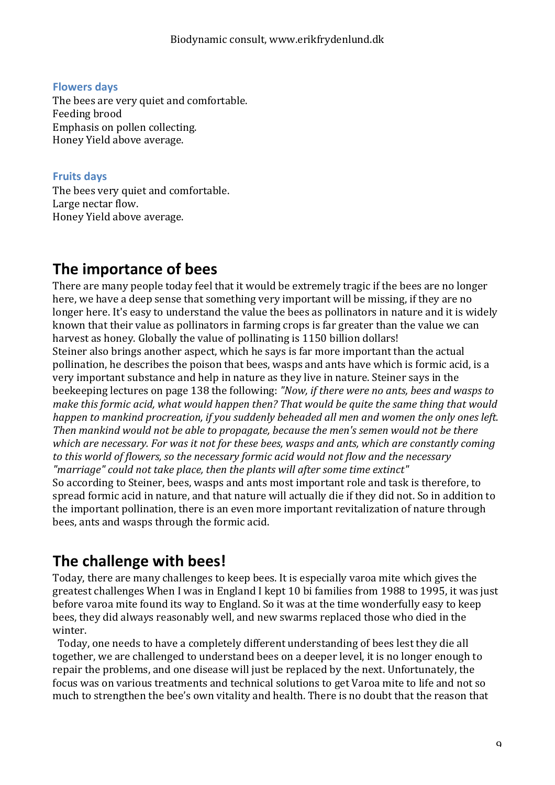**Flowers days** The bees are very quiet and comfortable. Feeding brood Emphasis on pollen collecting. Honey Yield above average.

#### **Fruits days**

The bees very quiet and comfortable. Large nectar flow. Honey Yield above average.

# **The importance of bees**

There are many people today feel that it would be extremely tragic if the bees are no longer here, we have a deep sense that something very important will be missing, if they are no longer here. It's easy to understand the value the bees as pollinators in nature and it is widely known that their value as pollinators in farming crops is far greater than the value we can harvest as honey. Globally the value of pollinating is 1150 billion dollars! Steiner also brings another aspect, which he says is far more important than the actual pollination, he describes the poison that bees, wasps and ants have which is formic acid, is a very important substance and help in nature as they live in nature. Steiner says in the beekeeping lectures on page 138 the following: *"Now, if there were no ants, bees and wasps to make this formic acid, what would happen then? That would be quite the same thing that would happen to mankind procreation, if you suddenly beheaded all men and women the only ones left. Then* mankind would not be able to propagate, because the men's semen would not be there *which are necessary.* For was it not for these bees, wasps and ants, which are constantly coming to this world of flowers, so the necessary formic acid would not flow and the necessary *"marriage" could not take place, then the plants will after some time extinct"* So according to Steiner, bees, wasps and ants most important role and task is therefore, to spread formic acid in nature, and that nature will actually die if they did not. So in addition to the important pollination, there is an even more important revitalization of nature through bees, ants and wasps through the formic acid.

# **The challenge with bees!**

Today, there are many challenges to keep bees. It is especially varoa mite which gives the greatest challenges When I was in England I kept 10 bi families from 1988 to 1995, it was just before varoa mite found its way to England. So it was at the time wonderfully easy to keep bees, they did always reasonably well, and new swarms replaced those who died in the winter.

Today, one needs to have a completely different understanding of bees lest they die all together, we are challenged to understand bees on a deeper level, it is no longer enough to repair the problems, and one disease will just be replaced by the next. Unfortunately, the focus was on various treatments and technical solutions to get Varoa mite to life and not so much to strengthen the bee's own vitality and health. There is no doubt that the reason that